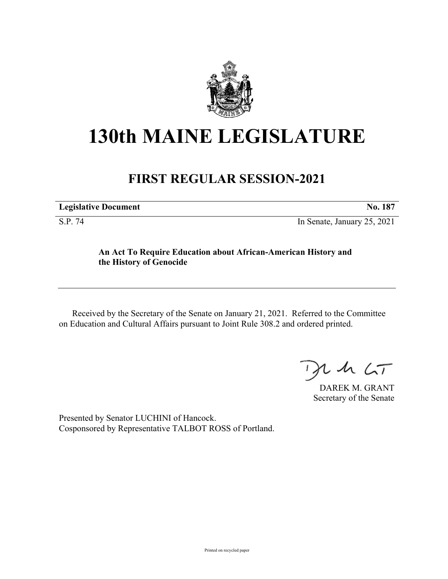

## **130th MAINE LEGISLATURE**

## **FIRST REGULAR SESSION-2021**

**Legislative Document No. 187**

S.P. 74 In Senate, January 25, 2021

## **An Act To Require Education about African-American History and the History of Genocide**

Received by the Secretary of the Senate on January 21, 2021. Referred to the Committee on Education and Cultural Affairs pursuant to Joint Rule 308.2 and ordered printed.

 $125$ 

DAREK M. GRANT Secretary of the Senate

Presented by Senator LUCHINI of Hancock. Cosponsored by Representative TALBOT ROSS of Portland.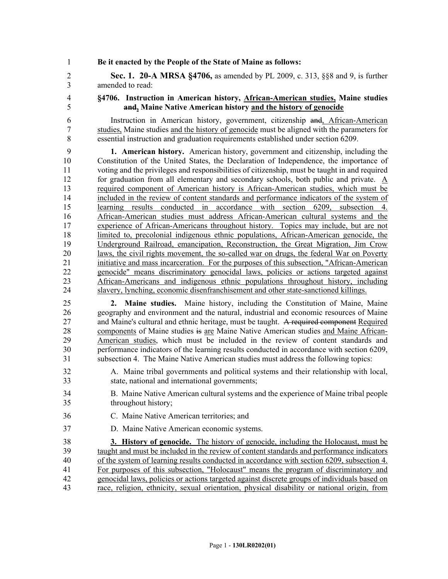1 **Be it enacted by the People of the State of Maine as follows:**

2 **Sec. 1. 20-A MRSA §4706,** as amended by PL 2009, c. 313, §§8 and 9, is further 3 amended to read:

4 **§4706. Instruction in American history, African-American studies, Maine studies** 5 **and, Maine Native American history and the history of genocide**

6 Instruction in American history, government, citizenship and, African-American 7 studies, Maine studies and the history of genocide must be aligned with the parameters for 8 essential instruction and graduation requirements established under section 6209.

9 **1. American history.** American history, government and citizenship, including the 10 Constitution of the United States, the Declaration of Independence, the importance of 11 voting and the privileges and responsibilities of citizenship, must be taught in and required 12 for graduation from all elementary and secondary schools, both public and private. A 13 required component of American history is African-American studies, which must be 14 included in the review of content standards and performance indicators of the system of 15 learning results conducted in accordance with section 6209, subsection 4. 16 African-American studies must address African-American cultural systems and the 17 experience of African-Americans throughout history. Topics may include, but are not 18 limited to, precolonial indigenous ethnic populations, African-American genocide, the 19 Underground Railroad, emancipation, Reconstruction, the Great Migration, Jim Crow 20 laws, the civil rights movement, the so-called war on drugs, the federal War on Poverty 21 initiative and mass incarceration. For the purposes of this subsection, "African-American 22 genocide" means discriminatory genocidal laws, policies or actions targeted against 23 African-Americans and indigenous ethnic populations throughout history, including 24 slavery, lynching, economic disenfranchisement and other state-sanctioned killings.

25 **2. Maine studies.** Maine history, including the Constitution of Maine, Maine 26 geography and environment and the natural, industrial and economic resources of Maine 27 and Maine's cultural and ethnic heritage, must be taught. A required component Required 28 components of Maine studies is are Maine Native American studies and Maine African-29 American studies, which must be included in the review of content standards and 30 performance indicators of the learning results conducted in accordance with section 6209, 31 subsection 4. The Maine Native American studies must address the following topics:

- 32 A. Maine tribal governments and political systems and their relationship with local, 33 state, national and international governments;
- 34 B. Maine Native American cultural systems and the experience of Maine tribal people 35 throughout history;
- 36 C. Maine Native American territories; and
- 37 D. Maine Native American economic systems.

38 **3. History of genocide.** The history of genocide, including the Holocaust, must be 39 taught and must be included in the review of content standards and performance indicators 40 of the system of learning results conducted in accordance with section 6209, subsection 4. 41 For purposes of this subsection, "Holocaust" means the program of discriminatory and 42 genocidal laws, policies or actions targeted against discrete groups of individuals based on 43 race, religion, ethnicity, sexual orientation, physical disability or national origin, from